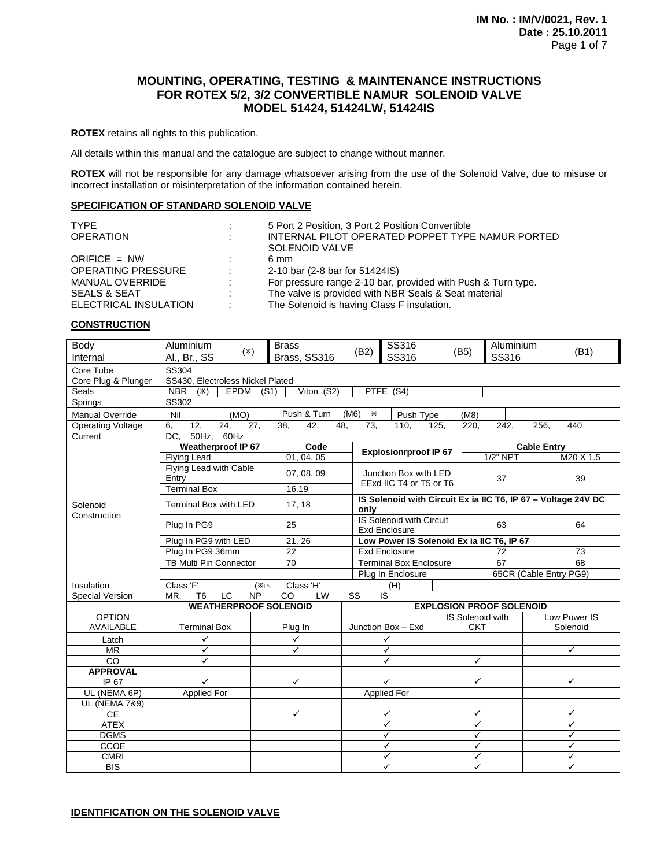# **MOUNTING, OPERATING, TESTING & MAINTENANCE INSTRUCTIONS FOR ROTEX 5/2, 3/2 CONVERTIBLE NAMUR SOLENOID VALVE MODEL 51424, 51424LW, 51424IS**

**ROTEX** retains all rights to this publication.

All details within this manual and the catalogue are subject to change without manner.

**ROTEX** will not be responsible for any damage whatsoever arising from the use of the Solenoid Valve, due to misuse or incorrect installation or misinterpretation of the information contained herein.

## **SPECIFICATION OF STANDARD SOLENOID VALVE**

| <b>TYPE</b><br><b>OPERATION</b> | ÷<br>÷               | 5 Port 2 Position, 3 Port 2 Position Convertible<br>INTERNAL PILOT OPERATED POPPET TYPE NAMUR PORTED<br>SOLENOID VALVE |
|---------------------------------|----------------------|------------------------------------------------------------------------------------------------------------------------|
| ORIFICE $= NW$                  |                      | 6 mm                                                                                                                   |
| <b>OPERATING PRESSURE</b>       | $\ddot{\phantom{a}}$ | 2-10 bar (2-8 bar for 51424IS)                                                                                         |
| <b>MANUAL OVERRIDE</b>          | ٠.                   | For pressure range 2-10 bar, provided with Push & Turn type.                                                           |
| <b>SEALS &amp; SEAT</b>         |                      | The valve is provided with NBR Seals & Seat material                                                                   |
| ELECTRICAL INSULATION           | $\mathbb{R}^2$       | The Solenoid is having Class F insulation.                                                                             |

# **CONSTRUCTION**

| Body                                          | Aluminium<br>$(\mathbb{X})$                                                                                                  |            | <b>Brass</b>            |                                           | SS316<br>(B2)                                                         |                         |                        | (B5)               | Aluminium                       | (B1)                    |
|-----------------------------------------------|------------------------------------------------------------------------------------------------------------------------------|------------|-------------------------|-------------------------------------------|-----------------------------------------------------------------------|-------------------------|------------------------|--------------------|---------------------------------|-------------------------|
| Internal                                      | Al., Br., SS                                                                                                                 |            | Brass, SS316            |                                           |                                                                       | SS316                   |                        |                    | SS316                           |                         |
| Core Tube                                     | SS304                                                                                                                        |            |                         |                                           |                                                                       |                         |                        |                    |                                 |                         |
| Core Plug & Plunger                           | SS430, Electroless Nickel Plated                                                                                             |            |                         |                                           |                                                                       |                         |                        |                    |                                 |                         |
| <b>Seals</b>                                  | Viton (S2)<br><b>NBR</b><br>$(\mathbb{X})$<br><b>EPDM</b><br>PTFE (S4)<br>(S1)                                               |            |                         |                                           |                                                                       |                         |                        |                    |                                 |                         |
| Springs                                       | SS302                                                                                                                        |            |                         |                                           |                                                                       |                         |                        |                    |                                 |                         |
| Manual Override                               | Nil<br>(MO)                                                                                                                  |            | Push & Turn             | (M6)                                      | $\times$                                                              | Push Type               |                        | (M8)               |                                 |                         |
| <b>Operating Voltage</b>                      | $\overline{24}$ ,<br>12,<br>27,<br>$\overline{38}$<br>48.<br>73.<br>6.<br>42,<br>220.<br>242,<br>256,<br>440<br>110,<br>125, |            |                         |                                           |                                                                       |                         |                        |                    |                                 |                         |
| DC.<br>$50Hz$ ,<br>$60$ Hz<br>Current<br>Code |                                                                                                                              |            |                         |                                           |                                                                       |                         |                        |                    |                                 |                         |
|                                               | <b>Weatherproof IP 67</b>                                                                                                    |            |                         |                                           | <b>Explosionrproof IP 67</b>                                          |                         |                        | <b>Cable Entry</b> |                                 |                         |
|                                               | <b>Flying Lead</b>                                                                                                           |            | 01, 04, 05              |                                           |                                                                       |                         |                        |                    | $1/2$ " NPT                     | M20 X 1.5               |
|                                               | Flying Lead with Cable<br>Entry                                                                                              | 07, 08, 09 |                         | Junction Box with LED                     |                                                                       |                         | 37                     |                    | 39                              |                         |
|                                               | <b>Terminal Box</b>                                                                                                          |            | 16.19                   |                                           |                                                                       | EExd IIC T4 or T5 or T6 |                        |                    |                                 |                         |
| Solenoid                                      | <b>Terminal Box with LED</b>                                                                                                 |            | 17, 18                  |                                           | IS Solenoid with Circuit Ex ia IIC T6, IP 67 - Voltage 24V DC<br>only |                         |                        |                    |                                 |                         |
| Construction                                  | Plug In PG9                                                                                                                  |            | 25                      |                                           | IS Solenoid with Circuit<br><b>Exd Enclosure</b>                      |                         |                        | 63                 |                                 | 64                      |
|                                               | Plug In PG9 with LED                                                                                                         | 21.26      |                         | Low Power IS Solenoid Ex ia IIC T6, IP 67 |                                                                       |                         |                        |                    |                                 |                         |
|                                               | Plug In PG9 36mm                                                                                                             | 22         |                         | <b>Exd Enclosure</b>                      |                                                                       |                         | 72                     |                    | 73                              |                         |
|                                               | <b>TB Multi Pin Connector</b>                                                                                                |            | 70                      |                                           | <b>Terminal Box Enclosure</b>                                         |                         |                        |                    | 67                              | 68                      |
|                                               |                                                                                                                              |            |                         |                                           | Plug In Enclosure                                                     |                         | 65CR (Cable Entry PG9) |                    |                                 |                         |
| Insulation                                    | Class 'F'                                                                                                                    | (⋇n        | Class 'H'               |                                           |                                                                       | (H)                     |                        |                    |                                 |                         |
| Special Version                               | <b>LC</b><br>MR,<br>T <sub>6</sub>                                                                                           | <b>NP</b>  | CO<br><b>LW</b>         | SS                                        |                                                                       | IS                      |                        |                    |                                 |                         |
|                                               | <b>WEATHERPROOF SOLENOID</b>                                                                                                 |            |                         |                                           |                                                                       |                         |                        |                    | <b>EXPLOSION PROOF SOLENOID</b> |                         |
| <b>OPTION</b>                                 |                                                                                                                              |            |                         |                                           | IS Solenoid with                                                      |                         |                        | Low Power IS       |                                 |                         |
| AVAILABLE                                     | <b>Terminal Box</b>                                                                                                          |            | Plug In                 |                                           | Junction Box - Exd                                                    |                         |                        | <b>CKT</b>         |                                 | Solenoid                |
| Latch                                         | ✓                                                                                                                            |            | $\checkmark$            |                                           | ✓                                                                     |                         |                        |                    |                                 |                         |
| <b>MR</b>                                     | $\overline{\checkmark}$                                                                                                      |            | $\overline{\checkmark}$ |                                           | ✓                                                                     |                         |                        |                    |                                 | $\overline{\checkmark}$ |
| <b>CO</b>                                     | $\checkmark$                                                                                                                 |            |                         |                                           | $\checkmark$                                                          |                         |                        | $\checkmark$       |                                 |                         |
| <b>APPROVAL</b>                               |                                                                                                                              |            |                         |                                           |                                                                       |                         |                        |                    |                                 |                         |
| IP 67                                         | ✓                                                                                                                            | ✓          |                         |                                           | ✓                                                                     |                         |                        | ✓                  |                                 | ✓                       |
| UL (NEMA 6P)                                  | <b>Applied For</b>                                                                                                           |            |                         |                                           | Applied For                                                           |                         |                        |                    |                                 |                         |
| <b>UL (NEMA 7&amp;9)</b>                      |                                                                                                                              |            |                         |                                           |                                                                       |                         |                        |                    |                                 |                         |
| <b>CE</b>                                     |                                                                                                                              | ✓          |                         |                                           | ✓                                                                     |                         |                        | ✓                  |                                 | $\checkmark$            |
| <b>ATEX</b>                                   |                                                                                                                              |            |                         |                                           | ✓                                                                     |                         |                        | ✓                  |                                 | ✓                       |
| <b>DGMS</b>                                   |                                                                                                                              |            |                         |                                           |                                                                       | ✓                       |                        | ✓                  |                                 | ✓                       |
| <b>CCOE</b>                                   |                                                                                                                              |            |                         |                                           | ✓                                                                     |                         |                        | ✓                  |                                 | ✓                       |
| <b>CMRI</b>                                   |                                                                                                                              |            |                         |                                           |                                                                       | ✓                       |                        | ✓                  |                                 | ✓                       |
| <b>BIS</b>                                    |                                                                                                                              |            |                         |                                           |                                                                       | ✓                       |                        | ✓                  |                                 | ✓                       |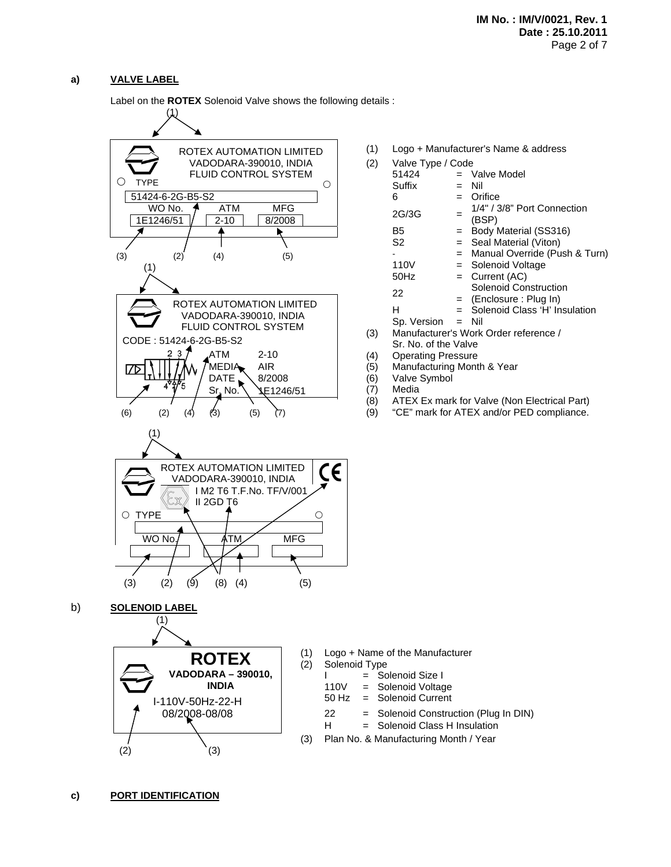## **a) VALVE LABEL**

Label on the **ROTEX** Solenoid Valve shows the following details :



- (1) Logo + Manufacturer's Name & address
- (2) Valve Type / Code<br> $51424 = \sqrt{21}$ = Valve Model  $Suffix = Nil$  $6 = \text{O}$  $2G/3G = \frac{1/4" / 3/8"$  Port Connection (BSP) B5 = Body Material (SS316) S2 = Seal Material (Viton) = Manual Override (Push & Turn) 110V = Solenoid Voltage  $50\text{Hz}$  = Current (AC) 22  $=$ Solenoid Construction (Enclosure : Plug In) H = Solenoid Class 'H' Insulation Sp. Version = Nil (3) Manufacturer's Work Order reference / Sr. No. of the Valve
- (4) Operating Pressure
- 
- (5) Manufacturing Month & Year
- (6) Valve Symbol
- (7) Media
- (8) ATEX Ex mark for Valve (Non Electrical Part)
- (9) "CE" mark for ATEX and/or PED compliance.

- Logo + Name of the Manufacturer Solenoid Type
	- = Solenoid Size I
	- = Solenoid Voltage
	-
	-
	- H = Solenoid Class H Insulation
- (3) Plan No. & Manufacturing Month / Year

**c) PORT IDENTIFICATION** 

 $(2)$   $(3)$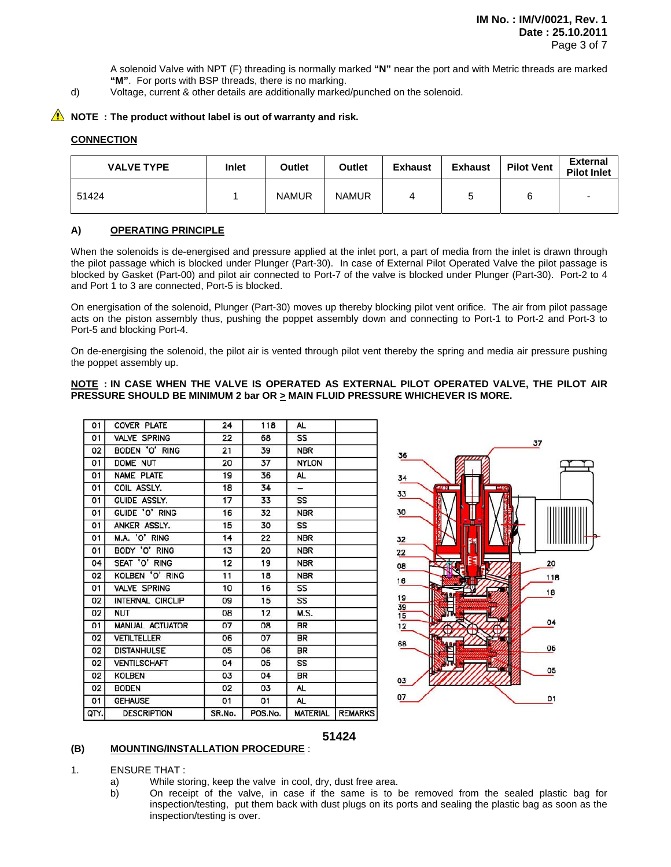A solenoid Valve with NPT (F) threading is normally marked **"N"** near the port and with Metric threads are marked **"M"**. For ports with BSP threads, there is no marking.

d) Voltage, current & other details are additionally marked/punched on the solenoid.

## **A** NOTE : The product without label is out of warranty and risk.

## **CONNECTION**

| <b>VALVE TYPE</b> | <b>Inlet</b> | Outlet       | Outlet       | Exhaust | <b>Exhaust</b> | <b>Pilot Vent</b> | <b>External</b><br><b>Pilot Inlet</b> |
|-------------------|--------------|--------------|--------------|---------|----------------|-------------------|---------------------------------------|
| 51424             |              | <b>NAMUR</b> | <b>NAMUR</b> |         |                |                   | $\overline{\phantom{0}}$              |

## **A) OPERATING PRINCIPLE**

When the solenoids is de-energised and pressure applied at the inlet port, a part of media from the inlet is drawn through the pilot passage which is blocked under Plunger (Part-30). In case of External Pilot Operated Valve the pilot passage is blocked by Gasket (Part-00) and pilot air connected to Port-7 of the valve is blocked under Plunger (Part-30). Port-2 to 4 and Port 1 to 3 are connected, Port-5 is blocked.

On energisation of the solenoid, Plunger (Part-30) moves up thereby blocking pilot vent orifice. The air from pilot passage acts on the piston assembly thus, pushing the poppet assembly down and connecting to Port-1 to Port-2 and Port-3 to Port-5 and blocking Port-4.

On de-energising the solenoid, the pilot air is vented through pilot vent thereby the spring and media air pressure pushing the poppet assembly up.

#### **NOTE : IN CASE WHEN THE VALVE IS OPERATED AS EXTERNAL PILOT OPERATED VALVE, THE PILOT AIR PRESSURE SHOULD BE MINIMUM 2 bar OR > MAIN FLUID PRESSURE WHICHEVER IS MORE.**

| 01   | <b>COVER PLATE</b>     | 24     | 118     | AL.             |                |
|------|------------------------|--------|---------|-----------------|----------------|
| 01   | <b>VALVE SPRING</b>    | 22     | 68      | SS              |                |
| 02   | BODEN 'O' RING         | 21     | 39      | <b>NBR</b>      |                |
| 01   | <b>DOME NUT</b>        | 20     | 37      | <b>NYLON</b>    |                |
| 01   | <b>NAME PLATE</b>      | 19     | 36      | AL.             |                |
| 01   | COIL ASSLY.            | 18     | 34      | پ               |                |
| 01   | GUIDE ASSLY.           | 17     | 33      | SS              |                |
| 01   | GUIDE 'O' RING         | 16     | 32      | <b>NBR</b>      |                |
| 01   | ANKER ASSLY.           | 15     | 30      | SS              |                |
| 01   | M.A. 'O' RING          | 14     | 22      | <b>NBR</b>      |                |
| 01   | BODY 'O' RING          | 13     | 20      | <b>NBR</b>      |                |
| 04   | SEAT 'O' RING          | 12     | 19      | <b>NBR</b>      |                |
| 02   | KOLBEN 'O' RING        | 11     | 18      | <b>NBR</b>      |                |
| 01   | <b>VALVE SPRING</b>    | 10     | 16      | SS              |                |
| 02   | INTERNAL CIRCLIP       | 09     | 15      | SS              |                |
| 02   | <b>NUT</b>             | 80     | 12      | M.S.            |                |
| 01   | <b>MANUAL ACTUATOR</b> | 07     | 80      | <b>BR</b>       |                |
| 02   | <b>VETILTELLER</b>     | 06     | 07      | <b>BR</b>       |                |
| 02   | <b>DISTANHULSE</b>     | 05     | 06      | BR              |                |
| 02   | <b>VENTILSCHAFT</b>    | 04     | 05      | SS              |                |
| 02   | <b>KOLBEN</b>          | 03     | 04      | <b>BR</b>       |                |
| 02   | <b>BODEN</b>           | 02     | 03      | AL.             |                |
| 01   | <b>GEHAUSE</b>         | 01     | 01      | AL.             |                |
| QTY. | <b>DESCRIPTION</b>     | SR.No. | POS.No. | <b>MATERIAL</b> | <b>REMARKS</b> |



# **51424**

# **(B) MOUNTING/INSTALLATION PROCEDURE** :

#### 1. ENSURE THAT :

- a) While storing, keep the valve in cool, dry, dust free area.
- b) On receipt of the valve, in case if the same is to be removed from the sealed plastic bag for inspection/testing, put them back with dust plugs on its ports and sealing the plastic bag as soon as the inspection/testing is over.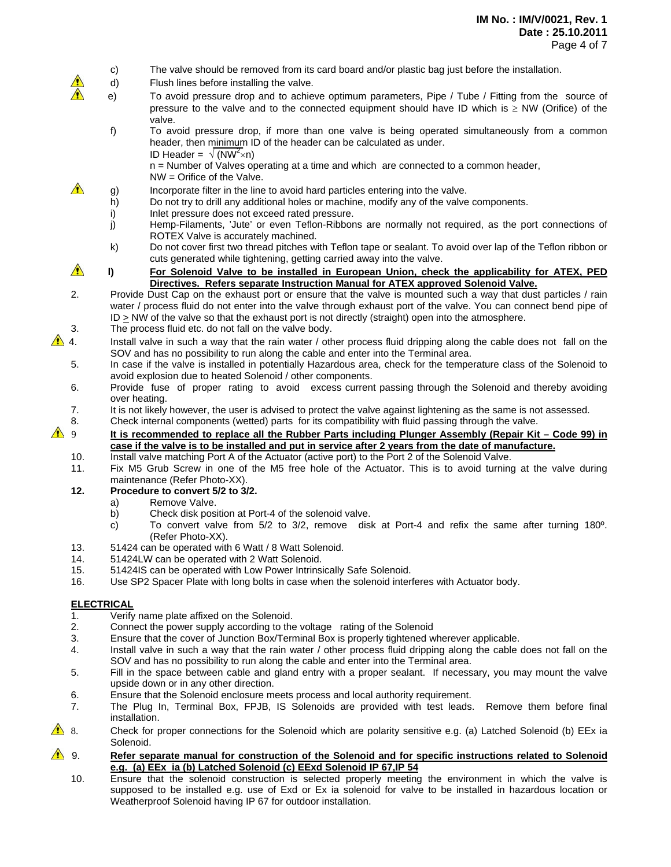- c) The valve should be removed from its card board and/or plastic bag just before the installation.
- $\sqrt{ }$  d) Flush lines before installing the valve.
	- e) To avoid pressure drop and to achieve optimum parameters, Pipe / Tube / Fitting from the source of pressure to the valve and to the connected equipment should have ID which is ≥ NW (Orifice) of the valve.
		- f) To avoid pressure drop, if more than one valve is being operated simultaneously from a common header, then minimum ID of the header can be calculated as under. ID Header =  $\sqrt{(NW^2 \times n)}$ 
			- n = Number of Valves operating at a time and which are connected to a common header,
		- NW = Orifice of the Valve.
- $\triangle$  g) Incorporate filter in the line to avoid hard particles entering into the valve.
	- h) Do not try to drill any additional holes or machine, modify any of the valve components.
		- i) Inlet pressure does not exceed rated pressure.
		- j) Hemp-Filaments, 'Jute' or even Teflon-Ribbons are normally not required, as the port connections of ROTEX Valve is accurately machined.
	- k) Do not cover first two thread pitches with Teflon tape or sealant. To avoid over lap of the Teflon ribbon or cuts generated while tightening, getting carried away into the valve.
- **l**) For Solenoid Valve to be installed in European Union, check the applicability for ATEX, PED **Directives. Refers separate Instruction Manual for ATEX approved Solenoid Valve.**
- 2. Provide Dust Cap on the exhaust port or ensure that the valve is mounted such a way that dust particles / rain water / process fluid do not enter into the valve through exhaust port of the valve. You can connect bend pipe of ID > NW of the valve so that the exhaust port is not directly (straight) open into the atmosphere.
- 3. The process fluid etc. do not fall on the valve body.
- 4. Install valve in such a way that the rain water / other process fluid dripping along the cable does not fall on the SOV and has no possibility to run along the cable and enter into the Terminal area.
	- 5. In case if the valve is installed in potentially Hazardous area, check for the temperature class of the Solenoid to avoid explosion due to heated Solenoid / other components.
	- 6. Provide fuse of proper rating to avoid excess current passing through the Solenoid and thereby avoiding over heating.
- 7. It is not likely however, the user is advised to protect the valve against lightening as the same is not assessed.
- 8. Check internal components (wetted) parts for its compatibility with fluid passing through the valve.
- 9 **It is recommended to replace all the Rubber Parts including Plunger Assembly (Repair Kit Code 99) in case if the valve is to be installed and put in service after 2 years from the date of manufacture.** 
	- 10. Install valve matching Port A of the Actuator (active port) to the Port 2 of the Solenoid Valve.
- 11. Fix M5 Grub Screw in one of the M5 free hole of the Actuator. This is to avoid turning at the valve during maintenance (Refer Photo-XX).

## **12. Procedure to convert 5/2 to 3/2.**

- a) Remove Valve.
- b) Check disk position at Port-4 of the solenoid valve.
- c) To convert valve from 5/2 to 3/2, remove disk at Port-4 and refix the same after turning 180º. (Refer Photo-XX).
- 13. 51424 can be operated with 6 Watt / 8 Watt Solenoid.<br>14. 51424L W can be operated with 2 Watt Solenoid.
- 51424LW can be operated with 2 Watt Solenoid.
- 15. 51424IS can be operated with Low Power Intrinsically Safe Solenoid.
- 16. Use SP2 Spacer Plate with long bolts in case when the solenoid interferes with Actuator body.

# **ELECTRICAL**

- 1. Verify name plate affixed on the Solenoid.
- 2. Connect the power supply according to the voltage rating of the Solenoid
- 3. Ensure that the cover of Junction Box/Terminal Box is properly tightened wherever applicable.
- 4. Install valve in such a way that the rain water / other process fluid dripping along the cable does not fall on the SOV and has no possibility to run along the cable and enter into the Terminal area.
- 5. Fill in the space between cable and gland entry with a proper sealant. If necessary, you may mount the valve upside down or in any other direction.
- 6. Ensure that the Solenoid enclosure meets process and local authority requirement.
- 7. The Plug In, Terminal Box, FPJB, IS Solenoids are provided with test leads. Remove them before final installation.
- 8. Check for proper connections for the Solenoid which are polarity sensitive e.g. (a) Latched Solenoid (b) EEx ia Solenoid.
- **1** 9. **Refer separate manual for construction of the Solenoid and for specific instructions related to Solenoid e.g. (a) EEx ia (b) Latched Solenoid (c) EExd Solenoid IP 67,IP 54** 
	- 10. Ensure that the solenoid construction is selected properly meeting the environment in which the valve is supposed to be installed e.g. use of Exd or Ex ia solenoid for valve to be installed in hazardous location or Weatherproof Solenoid having IP 67 for outdoor installation.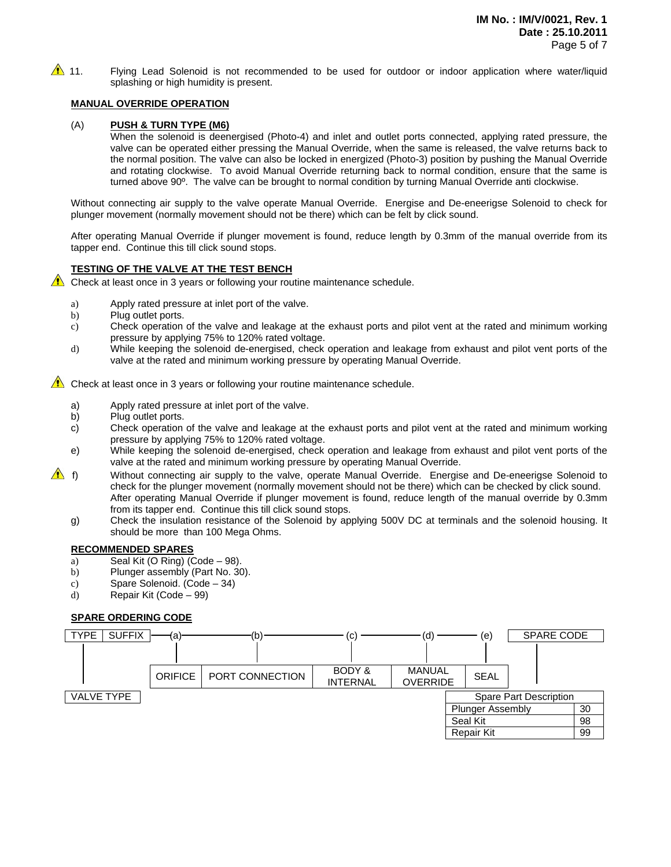11. Flying Lead Solenoid is not recommended to be used for outdoor or indoor application where water/liquid splashing or high humidity is present.

#### **MANUAL OVERRIDE OPERATION**

#### (A) **PUSH & TURN TYPE (M6)**

When the solenoid is deenergised (Photo-4) and inlet and outlet ports connected, applying rated pressure, the valve can be operated either pressing the Manual Override, when the same is released, the valve returns back to the normal position. The valve can also be locked in energized (Photo-3) position by pushing the Manual Override and rotating clockwise. To avoid Manual Override returning back to normal condition, ensure that the same is turned above 90º. The valve can be brought to normal condition by turning Manual Override anti clockwise.

Without connecting air supply to the valve operate Manual Override. Energise and De-eneerigse Solenoid to check for plunger movement (normally movement should not be there) which can be felt by click sound.

After operating Manual Override if plunger movement is found, reduce length by 0.3mm of the manual override from its tapper end. Continue this till click sound stops.

#### **TESTING OF THE VALVE AT THE TEST BENCH**

Check at least once in 3 years or following your routine maintenance schedule.

- a) Apply rated pressure at inlet port of the valve.
- b) Plug outlet ports.
- c) Check operation of the valve and leakage at the exhaust ports and pilot vent at the rated and minimum working pressure by applying 75% to 120% rated voltage.
- d) While keeping the solenoid de-energised, check operation and leakage from exhaust and pilot vent ports of the valve at the rated and minimum working pressure by operating Manual Override.

Check at least once in 3 years or following your routine maintenance schedule.

- a) Apply rated pressure at inlet port of the valve.
- b) Plug outlet ports.
- c) Check operation of the valve and leakage at the exhaust ports and pilot vent at the rated and minimum working pressure by applying 75% to 120% rated voltage.
- e) While keeping the solenoid de-energised, check operation and leakage from exhaust and pilot vent ports of the valve at the rated and minimum working pressure by operating Manual Override.
- $\triangle$  f) Without connecting air supply to the valve, operate Manual Override. Energise and De-eneerigse Solenoid to check for the plunger movement (normally movement should not be there) which can be checked by click sound. After operating Manual Override if plunger movement is found, reduce length of the manual override by 0.3mm from its tapper end. Continue this till click sound stops.
	- g) Check the insulation resistance of the Solenoid by applying 500V DC at terminals and the solenoid housing. It should be more than 100 Mega Ohms.

#### **RECOMMENDED SPARES**

- a) Seal Kit (O Ring) (Code  $-98$ ).
- b) Plunger assembly (Part No. 30).
- c) Spare Solenoid. (Code 34)
- d) Repair Kit (Code 99)

#### **SPARE ORDERING CODE**

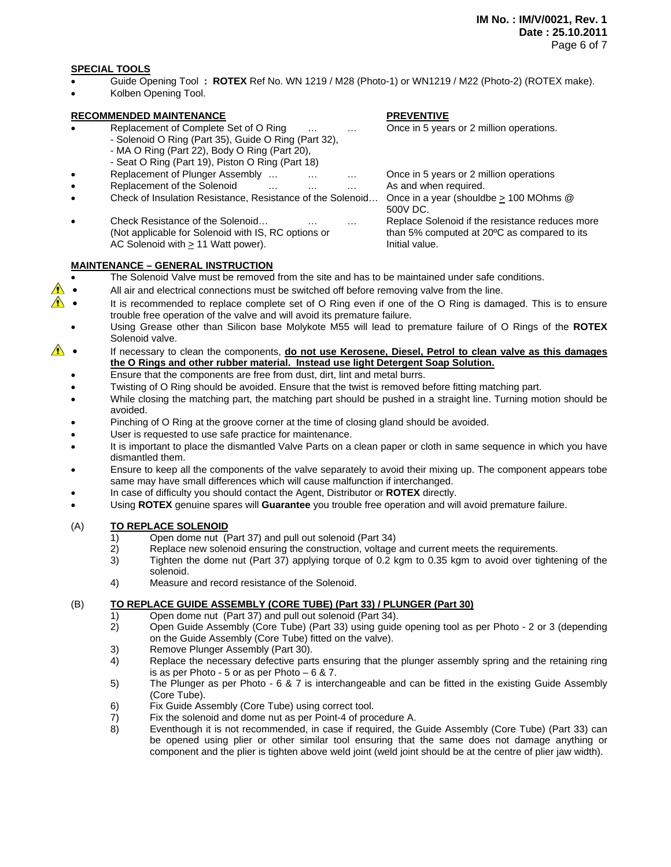## **SPECIAL TOOLS**

- Guide Opening Tool **: ROTEX** Ref No. WN 1219 / M28 (Photo-1) or WN1219 / M22 (Photo-2) (ROTEX make).
- Kolben Opening Tool.

# **RECOMMENDED MAINTENANCE PREVENTIVE**

- Replacement of Complete Set of O Ring ... . ... ... Once in 5 years or 2 million operations.
	- Solenoid O Ring (Part 35), Guide O Ring (Part 32),
	- MA O Ring (Part 22), Body O Ring (Part 20),
	- Seat O Ring (Part 19), Piston O Ring (Part 18)
	- Replacement of Plunger Assembly … … … Once in 5 years or 2 million operations
- Replacement of the Solenoid ... . ... ... ... As and when required.
- Check of Insulation Resistance, Resistance of the Solenoid... Once in a year (shouldbe  $\geq 100$  MOhms @
- Check Resistance of the Solenoid… … … … Replace Solenoid if the resistance reduces more (Not applicable for Solenoid with IS, RC options or than 5% computed at 20ºC as compared to its AC Solenoid with  $\geq 11$  Watt power). Initial value.

# **MAINTENANCE – GENERAL INSTRUCTION**

- The Solenoid Valve must be removed from the site and has to be maintained under safe conditions.
- All air and electrical connections must be switched off before removing valve from the line.
- It is recommended to replace complete set of O Ring even if one of the O Ring is damaged. This is to ensure trouble free operation of the valve and will avoid its premature failure.

500V DC.

- Using Grease other than Silicon base Molykote M55 will lead to premature failure of O Rings of the **ROTEX** Solenoid valve.
- **1** If necessary to clean the components, **do not use Kerosene, Diesel, Petrol to clean valve as this damages the O Rings and other rubber material. Instead use light Detergent Soap Solution.** 
	- Ensure that the components are free from dust, dirt, lint and metal burrs.
	- Twisting of O Ring should be avoided. Ensure that the twist is removed before fitting matching part.
	- While closing the matching part, the matching part should be pushed in a straight line. Turning motion should be avoided.
	- Pinching of O Ring at the groove corner at the time of closing gland should be avoided.
	- User is requested to use safe practice for maintenance.
	- It is important to place the dismantled Valve Parts on a clean paper or cloth in same sequence in which you have dismantled them.
	- Ensure to keep all the components of the valve separately to avoid their mixing up. The component appears tobe same may have small differences which will cause malfunction if interchanged.
	- In case of difficulty you should contact the Agent, Distributor or **ROTEX** directly.
	- Using **ROTEX** genuine spares will **Guarantee** you trouble free operation and will avoid premature failure.

# (A) **TO REPLACE SOLENOID**

- 1) Open dome nut (Part 37) and pull out solenoid (Part 34)
- 2) Replace new solenoid ensuring the construction, voltage and current meets the requirements.
- 3) Tighten the dome nut (Part 37) applying torque of 0.2 kgm to 0.35 kgm to avoid over tightening of the solenoid.
- 4) Measure and record resistance of the Solenoid.

# (B) **TO REPLACE GUIDE ASSEMBLY (CORE TUBE) (Part 33) / PLUNGER (Part 30)**

- 1) Open dome nut (Part 37) and pull out solenoid (Part 34).
- 2) Open Guide Assembly (Core Tube) (Part 33) using guide opening tool as per Photo 2 or 3 (depending on the Guide Assembly (Core Tube) fitted on the valve).
- 3) Remove Plunger Assembly (Part 30).
- 4) Replace the necessary defective parts ensuring that the plunger assembly spring and the retaining ring is as per Photo - 5 or as per Photo  $-6$  & 7.
- 5) The Plunger as per Photo 6 & 7 is interchangeable and can be fitted in the existing Guide Assembly (Core Tube).
- 6) Fix Guide Assembly (Core Tube) using correct tool.
- 7) Fix the solenoid and dome nut as per Point-4 of procedure A.
- 8) Eventhough it is not recommended, in case if required, the Guide Assembly (Core Tube) (Part 33) can be opened using plier or other similar tool ensuring that the same does not damage anything or component and the plier is tighten above weld joint (weld joint should be at the centre of plier jaw width).